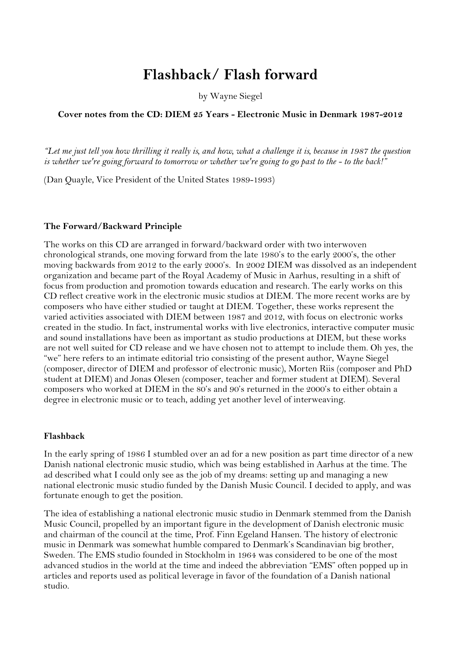# **Flashback/ Flash forward**

by Wayne Siegel

# **Cover notes from the CD: DIEM 25 Years - Electronic Music in Denmark 1987-2012**

*"Let me just tell you how thrilling it really is, and how, what a challenge it is, because in 1987 the question is whether we're going forward to tomorrow or whether we're going to go past to the - to the back!"*

(Dan Quayle, Vice President of the United States 1989-1993)

### **The Forward/Backward Principle**

The works on this CD are arranged in forward/backward order with two interwoven chronological strands, one moving forward from the late 1980's to the early 2000's, the other moving backwards from 2012 to the early 2000's. In 2002 DIEM was dissolved as an independent organization and became part of the Royal Academy of Music in Aarhus, resulting in a shift of focus from production and promotion towards education and research. The early works on this CD reflect creative work in the electronic music studios at DIEM. The more recent works are by composers who have either studied or taught at DIEM. Together, these works represent the varied activities associated with DIEM between 1987 and 2012, with focus on electronic works created in the studio. In fact, instrumental works with live electronics, interactive computer music and sound installations have been as important as studio productions at DIEM, but these works are not well suited for CD release and we have chosen not to attempt to include them. Oh yes, the "we" here refers to an intimate editorial trio consisting of the present author, Wayne Siegel (composer, director of DIEM and professor of electronic music), Morten Riis (composer and PhD student at DIEM) and Jonas Olesen (composer, teacher and former student at DIEM). Several composers who worked at DIEM in the 80's and 90's returned in the 2000's to either obtain a degree in electronic music or to teach, adding yet another level of interweaving.

### **Flashback**

In the early spring of 1986 I stumbled over an ad for a new position as part time director of a new Danish national electronic music studio, which was being established in Aarhus at the time. The ad described what I could only see as the job of my dreams: setting up and managing a new national electronic music studio funded by the Danish Music Council. I decided to apply, and was fortunate enough to get the position.

The idea of establishing a national electronic music studio in Denmark stemmed from the Danish Music Council, propelled by an important figure in the development of Danish electronic music and chairman of the council at the time, Prof. Finn Egeland Hansen. The history of electronic music in Denmark was somewhat humble compared to Denmark's Scandinavian big brother, Sweden. The EMS studio founded in Stockholm in 1964 was considered to be one of the most advanced studios in the world at the time and indeed the abbreviation "EMS" often popped up in articles and reports used as political leverage in favor of the foundation of a Danish national studio.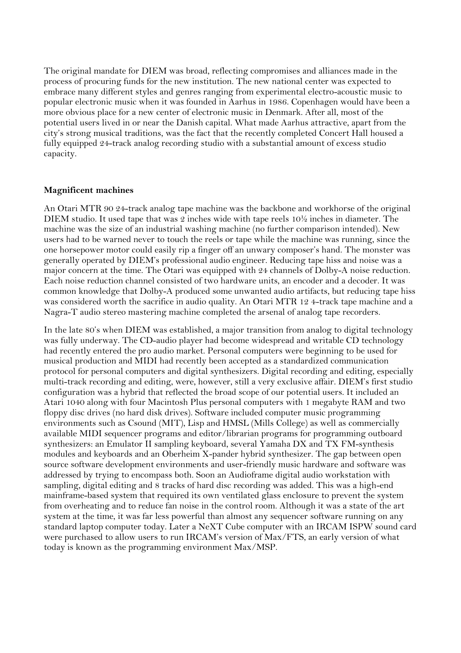The original mandate for DIEM was broad, reflecting compromises and alliances made in the process of procuring funds for the new institution. The new national center was expected to embrace many different styles and genres ranging from experimental electro-acoustic music to popular electronic music when it was founded in Aarhus in 1986. Copenhagen would have been a more obvious place for a new center of electronic music in Denmark. After all, most of the potential users lived in or near the Danish capital. What made Aarhus attractive, apart from the city's strong musical traditions, was the fact that the recently completed Concert Hall housed a fully equipped 24-track analog recording studio with a substantial amount of excess studio capacity.

# **Magnificent machines**

An Otari MTR 90 24-track analog tape machine was the backbone and workhorse of the original DIEM studio. It used tape that was 2 inches wide with tape reels 10½ inches in diameter. The machine was the size of an industrial washing machine (no further comparison intended). New users had to be warned never to touch the reels or tape while the machine was running, since the one horsepower motor could easily rip a finger off an unwary composer's hand. The monster was generally operated by DIEM's professional audio engineer. Reducing tape hiss and noise was a major concern at the time. The Otari was equipped with 24 channels of Dolby-A noise reduction. Each noise reduction channel consisted of two hardware units, an encoder and a decoder. It was common knowledge that Dolby-A produced some unwanted audio artifacts, but reducing tape hiss was considered worth the sacrifice in audio quality. An Otari MTR 12 4-track tape machine and a Nagra-T audio stereo mastering machine completed the arsenal of analog tape recorders.

In the late 80's when DIEM was established, a major transition from analog to digital technology was fully underway. The CD-audio player had become widespread and writable CD technology had recently entered the pro audio market. Personal computers were beginning to be used for musical production and MIDI had recently been accepted as a standardized communication protocol for personal computers and digital synthesizers. Digital recording and editing, especially multi-track recording and editing, were, however, still a very exclusive affair. DIEM's first studio configuration was a hybrid that reflected the broad scope of our potential users. It included an Atari 1040 along with four Macintosh Plus personal computers with 1 megabyte RAM and two floppy disc drives (no hard disk drives). Software included computer music programming environments such as Csound (MIT), Lisp and HMSL (Mills College) as well as commercially available MIDI sequencer programs and editor/librarian programs for programming outboard synthesizers: an Emulator II sampling keyboard, several Yamaha DX and TX FM-synthesis modules and keyboards and an Oberheim X-pander hybrid synthesizer. The gap between open source software development environments and user-friendly music hardware and software was addressed by trying to encompass both. Soon an Audioframe digital audio workstation with sampling, digital editing and 8 tracks of hard disc recording was added. This was a high-end mainframe-based system that required its own ventilated glass enclosure to prevent the system from overheating and to reduce fan noise in the control room. Although it was a state of the art system at the time, it was far less powerful than almost any sequencer software running on any standard laptop computer today. Later a NeXT Cube computer with an IRCAM ISPW sound card were purchased to allow users to run IRCAM's version of Max/FTS, an early version of what today is known as the programming environment Max/MSP.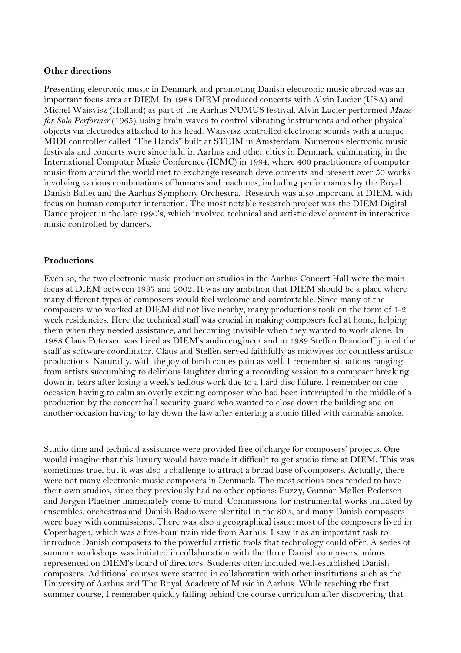## **Other directions**

Presenting electronic music in Denmark and promoting Danish electronic music abroad was an important focus area at DIEM. In 1988 DIEM produced concerts with Alvin Lucier (USA) and Michel Waisvisz (Holland) as part of the Aarhus NUMUS festival. Alvin Lucier performed *Music for Solo Performer* (1965)*,* using brain waves to control vibrating instruments and other physical objects via electrodes attached to his head. Waisvisz controlled electronic sounds with a unique MIDI controller called "The Hands" built at STEIM in Amsterdam. Numerous electronic music festivals and concerts were since held in Aarhus and other cities in Denmark, culminating in the International Computer Music Conference (ICMC) in 1994, where 400 practitioners of computer music from around the world met to exchange research developments and present over 50 works involving various combinations of humans and machines, including performances by the Royal Danish Ballet and the Aarhus Symphony Orchestra. Research was also important at DIEM, with focus on human computer interaction. The most notable research project was the DIEM Digital Dance project in the late 1990's, which involved technical and artistic development in interactive music controlled by dancers.

## **Productions**

Even so, the two electronic music production studios in the Aarhus Concert Hall were the main focus at DIEM between 1987 and 2002. It was my ambition that DIEM should be a place where many different types of composers would feel welcome and comfortable. Since many of the composers who worked at DIEM did not live nearby, many productions took on the form of 1-2 week residencies. Here the technical staff was crucial in making composers feel at home, helping them when they needed assistance, and becoming invisible when they wanted to work alone. In 1988 Claus Petersen was hired as DIEM's audio engineer and in 1989 Steffen Brandorff joined the staff as software coordinator. Claus and Steffen served faithfully as midwives for countless artistic productions. Naturally, with the joy of birth comes pain as well. I remember situations ranging from artists succumbing to delirious laughter during a recording session to a composer breaking down in tears after losing a week's tedious work due to a hard disc failure. I remember on one occasion having to calm an overly exciting composer who had been interrupted in the middle of a production by the concert hall security guard who wanted to close down the building and on another occasion having to lay down the law after entering a studio filled with cannabis smoke.

Studio time and technical assistance were provided free of charge for composers' projects. One would imagine that this luxury would have made it difficult to get studio time at DIEM. This was sometimes true, but it was also a challenge to attract a broad base of composers. Actually, there were not many electronic music composers in Denmark. The most serious ones tended to have their own studios, since they previously had no other options: Fuzzy, Gunnar Møller Pedersen and Jørgen Plaetner immediately come to mind. Commissions for instrumental works initiated by ensembles, orchestras and Danish Radio were plentiful in the 80's, and many Danish composers were busy with commissions. There was also a geographical issue: most of the composers lived in Copenhagen, which was a five-hour train ride from Aarhus. I saw it as an important task to introduce Danish composers to the powerful artistic tools that technology could offer. A series of summer workshops was initiated in collaboration with the three Danish composers unions represented on DIEM's board of directors. Students often included well-established Danish composers. Additional courses were started in collaboration with other institutions such as the University of Aarhus and The Royal Academy of Music in Aarhus. While teaching the first summer course, I remember quickly falling behind the course curriculum after discovering that